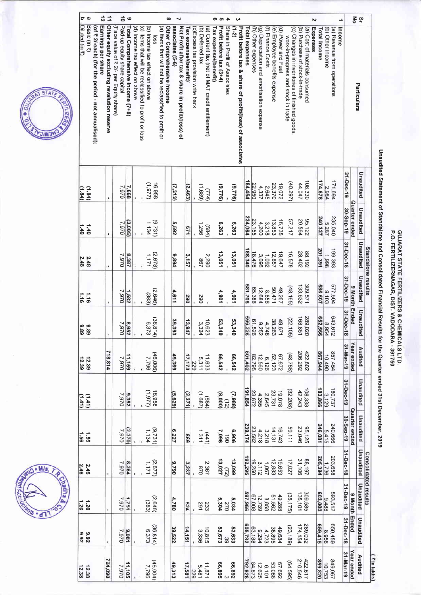### GUJARAT STATE FERTILIZERS & CHEMICALS LTD.<br>P.O. FERTILIZERNAGAR, DIST. VADODARA - 391750

# Unaudited Statement of Standalone and Consolidated Financial Results for the Quarter ended 31st December, 2019

| $\vec{5}$                                                         |                                                                 | $\Rightarrow$ |                                                                        | ಕೆ $\circ$                       |                                |                                                                                         |                                    |                                                      | $\infty$                   | N                                                                    |                        |                                    |                                            |                                                 | თო                    | $\rightarrow$                                            |            | ω                                                        |                |                                                                              |                                           |                   |                               |                    |                                                                                     |                                |                                | $\mathbf{v}$ |                     |                   | د                                     |           | 종                    | ပ္ခ         |                             |             |
|-------------------------------------------------------------------|-----------------------------------------------------------------|---------------|------------------------------------------------------------------------|----------------------------------|--------------------------------|-----------------------------------------------------------------------------------------|------------------------------------|------------------------------------------------------|----------------------------|----------------------------------------------------------------------|------------------------|------------------------------------|--------------------------------------------|-------------------------------------------------|-----------------------|----------------------------------------------------------|------------|----------------------------------------------------------|----------------|------------------------------------------------------------------------------|-------------------------------------------|-------------------|-------------------------------|--------------------|-------------------------------------------------------------------------------------|--------------------------------|--------------------------------|--------------|---------------------|-------------------|---------------------------------------|-----------|----------------------|-------------|-----------------------------|-------------|
| Basic (in ₹)<br>(of ₹ 2/-each) (for the period - not annualised): | Earnings per share<br>Other equity excluding revalution reserve |               | Paid-up equity share capital<br>(Face value of ₹ 2/- per Equity share) | Total Comprehensive Income (7+8) | (d) Income tax effect on above | (b) Income tax effect on above<br>(c) Items that will be reclassified to profit or loss | SSOI                               | (a) Items that will not be reclassified to profit or | Other Comprehensive Income | associates (5-6)<br>Net Profit after tax & share in profit/(loss) of | Tax expense/(benefit)  | (c)Excess tax provision write back | (b) Deferred tax                           | (a) Current tax (net of MAT credit entitlement) | Tax expense/(benefit) | Share in Profit of Associates<br>Profit before tax (3+4) | $(1-2)$    | Profit before tax & share of profit/(loss) of associates | Total expenses | (h) Other expenses                                                           | (g) Depreciation and amortisation expense | (f) Finance Costs | (e) Employee benefits expense | (d) Power and Fuel | (c) Changes in inventories of finished goods<br>work-in-progress and stock in trade | (b) Purchase of stock-in-trade | (a) Cost of materials consumed | Expenses     | <b>Total Income</b> | (b) Other Income  | (a) Revenue from operations<br>Income |           |                      | Particulars |                             |             |
| (1.84)                                                            |                                                                 |               | 0.662                                                                  | 7,668                            |                                | (226'1)                                                                                 | 16,958                             |                                                      | (7,313)                    |                                                                      | (2,463)                |                                    | $(1,689)$<br>( $777$ )                     |                                                 |                       | (9776)                                                   | (9.776)    |                                                          | 84,454         | 22,950                                                                       | 4,337                                     | 2,645             | 23,370                        | 19,072             | (40.297)                                                                            | 44,047                         | 108,330                        |              | 174,678             | 2,984             | 171,694                               | 31-Dec-19 |                      | Unaudited   |                             |             |
| 1.40<br>$0+1$                                                     |                                                                 |               | 026.2                                                                  | (3,005)                          |                                |                                                                                         | (9.731)                            |                                                      | 5,592                      |                                                                      | 129                    |                                    | 1,256                                      | (584)                                           |                       | 6,263                                                    | 6,263      |                                                          | 234,064        | 23,155                                                                       | 4,200                                     | 3,218             | 13,853                        | 16,735             | 57,217                                                                              | 20,564                         | 95,122                         |              | 240,327             | 5.287             | 235,040                               | 30-Sep-19 | Quarter ended        | Unaudited   |                             |             |
| 2.48<br>2.48                                                      |                                                                 |               | 026'2                                                                  | 8,387                            |                                | 1/171                                                                                   | (2,678)                            |                                                      | 9,894                      |                                                                      | 3,157                  |                                    | <b>287</b>                                 | 2,290                                           |                       | 13,051                                                   | 13,051     |                                                          | 188,340        | 18,476                                                                       | 3.096                                     | 1,092             | 12,857                        | 19,647             | 16,578                                                                              | 28,402                         | 88,192                         |              | 201,391             | 1,998             | 199,393                               | 31-Dec-18 |                      | Unaudited   | Standalone results          |             |
| $\frac{1}{9}$ $\frac{1}{9}$                                       |                                                                 |               | 7,970                                                                  | 1,582                            |                                | (383)                                                                                   | (2,646)                            |                                                      | 4,611                      |                                                                      | 06Z                    |                                    | 067                                        |                                                 |                       | 4,901                                                    | 4,901      |                                                          | 881,706        | 65,388                                                                       | 12,684                                    | 8,858             | 50,471                        | 49,267             | (48, 165)                                                                           | 133,632                        | 309,571                        |              | 586,607             | 8.103             | 577,504                               | 31-Dec-19 | 9 Month Ended        | Unaudited   |                             |             |
| 83<br>68<br>68                                                    |                                                                 |               |                                                                        | 8,952<br>7,970                   |                                |                                                                                         | $\widehat{96}$<br>36,814)<br>6,373 |                                                      | မိ<br>393                  |                                                                      | $\ddot{\omega}$<br>247 |                                    | ω ే<br>0.623<br>3.324                      |                                                 |                       | 53,340                                                   | ပ္ပ<br>340 |                                                          | 669<br>3226    | $\overline{a}$<br>$-526$                                                     | 9,252                                     | $38,263$<br>4,748 |                               | 49,671             | (22, 105)                                                                           | 168                            | 589<br>9,020                   |              | 293<br>999          | $43,612$<br>8.954 | 643                                   | 31-Dec-18 |                      | Unaudited   |                             |             |
| 12.39<br>12.39                                                    | 718,814                                                         |               |                                                                        | $\frac{026'2}{651'11}$           |                                |                                                                                         | (300.34)                           |                                                      | 49,369                     |                                                                      |                        | $\frac{229}{17,173}$               | 11.633                                     |                                                 |                       | 66,542                                                   | 66,542     |                                                          | 801,402        | $6.126$<br>$12.560$<br>$82.795$                                              |                                           |                   | 67,672<br>52,123              |                    | (48, 768)                                                                           |                                | 422,602<br>206,292             |              | 867,944             | 06001             | 857,454                               | 31-nar-19 | Year ended           | Audited     |                             |             |
| $\begin{pmatrix} 1 & 1 & 1 \ 1 & 1 & 1 \end{pmatrix}$             |                                                                 |               |                                                                        | $\frac{9,352}{7,970}$            |                                |                                                                                         | (779.77)                           |                                                      | (5, 629)                   |                                                                      | (2, 371)               |                                    | $(189)$<br>(+89)                           |                                                 |                       | $(7,988)$<br>(8.000)<br>(8.000)                          |            |                                                          | 191,854        | 23,672                                                                       | 2,645<br>4,355                            |                   | 19,078<br>23,731              |                    | (32, 208)                                                                           | $108,338$<br>$42,243$          |                                |              | 183,866             | 3,129             | 180,737                               | 31-Dec-19 |                      | Unaudited   |                             |             |
| $\frac{1}{9}$ is                                                  |                                                                 |               |                                                                        | $\frac{(2.370)}{7.970}$          |                                |                                                                                         | (9.731)                            |                                                      | 6,227                      |                                                                      | 698                    |                                    | $\begin{pmatrix} 441 \\ 311 \end{pmatrix}$ |                                                 |                       | 8:306<br>7:096<br>7:096                                  |            |                                                          | 239,174        | $16\overline{)14}$<br>$14\overline{)21}$<br>$3\overline{)3.582}$<br>$23.582$ |                                           |                   |                               |                    | 59,111                                                                              |                                | 95,125<br>23,046               |              | 246,081             | 240,666<br>5,415  |                                       | 30-Sep-19 | <b>Quarter ended</b> | Unaudited   |                             |             |
| 2.46<br>2.46                                                      |                                                                 |               |                                                                        | $\frac{8,284}{7,970}$            |                                |                                                                                         | 1,171<br>1,171                     |                                                      | 062'6                      |                                                                      | 3,237                  |                                    | 2.367<br>078                               |                                                 |                       | $(72)$<br>13,027                                         | 13,099     |                                                          | 192,295        | $3,112$<br>$19,250$                                                          |                                           | 1901              | $19,653$<br>$12,883$          |                    | 17,027                                                                              | 88.197                         |                                |              | 205,394             | 1,736             | 203,658                               | 31-Dec-18 |                      | Unaudited   |                             |             |
| 1.30                                                              |                                                                 |               | $\frac{1,751}{7,970}$                                                  |                                  |                                |                                                                                         | $(2.646)$<br>(383)                 |                                                      | 4,780                      |                                                                      | 524                    |                                    | 233                                        |                                                 |                       | 5,034<br>270<br>5,304                                    |            |                                                          |                | 8.858<br>12.730<br>597,966<br>597,966                                        |                                           |                   | 49,288<br>51,562              |                    | (36, 175)                                                                           | 309,585<br>135,101             |                                |              | 603,000             | 293,512<br>1884   |                                       | 31-Dec-19 |                      | Unaudited   | <b>Consolidated results</b> |             |
| 9.92<br>28.92                                                     |                                                                 |               | $\frac{9.081}{7.970}$                                                  |                                  |                                |                                                                                         | (36.814)                           |                                                      | 39,522                     |                                                                      | 14,151                 |                                    | $10,815$<br>3,336                          |                                                 |                       | 53,633<br>53,673                                         |            |                                                          |                | $\frac{63,188}{605,782}$                                                     |                                           | 4,723             | 49,684<br>38,895              |                    | (23, 189)                                                                           | 289,032<br>174,154             |                                |              | 659,415             | 8,956             | 650,459                               | 31-Dec-18 | 9 Month Ended        | Unaudited   |                             |             |
| 12.38<br>12.38                                                    | 724,098                                                         |               | 7.970                                                                  | 11,105                           |                                |                                                                                         | (46,000,00)                        |                                                      | 49,313                     |                                                                      | $\frac{229}{17,581}$   |                                    | $11.871$<br>5,481                          |                                                 | 66,895                |                                                          | 66,892     |                                                          | 792,928        | 84.873                                                                       | 6,101<br>12,625                           |                   | 67,692<br>53,068              |                    | (64,595)                                                                            | 422.617<br>210.546             |                                |              | 859,820             | 10,753            | 849.067                               | 31-Mar-19 | Year ended           | Audited     |                             | ( ₹in lakhs |



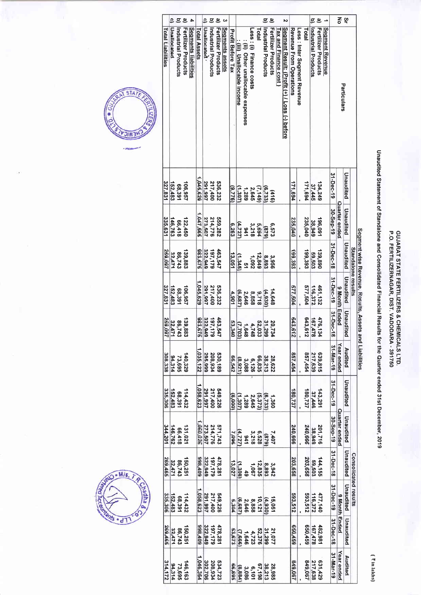### GUJARAT STATE FERTILIZERS & CHEMICALS LTD.<br>P.O. FERTILIZERNAGAR, DIST. VADODARA - 391750

# Unaudited Statement of Standalone and Consolidated Financial Results for the Quarter ended 31st December, 2019

(₹in lakhs)

| 종<br>ပ္ခ<br>e<br>ల<br>ల్<br>ਤ<br>$\overline{c}$<br>ਤ<br>్ర<br>Ξ<br>ల<br>లె<br>ω<br>N<br><b>Unallocated</b><br>Fertilizer Products<br>Fertilizer Products<br>Segments liabilities<br>Unallocated .<br>Fertilizer Products<br>Segments assets<br>Industrial Products<br><b>Fertilizer Products</b><br>Segment Result: (Profit (+) / Loss (-) before<br><b>Segment Revenue</b><br>Industrial Products<br><b>Industrial Products</b><br><b>Total Liabilities</b><br>Less: (i) Finance costs<br>Tax and Finance cost<br>Revenue From Operations<br>Less: Inter Segment Revenue<br>Total<br>Industrial Products<br><b>I</b> etal<br><b>Total Assets</b><br><b>Profit Before Tax</b><br>: (ii) Other unallocable expenses<br>(iii) Unallocable income<br>Particulars |
|---------------------------------------------------------------------------------------------------------------------------------------------------------------------------------------------------------------------------------------------------------------------------------------------------------------------------------------------------------------------------------------------------------------------------------------------------------------------------------------------------------------------------------------------------------------------------------------------------------------------------------------------------------------------------------------------------------------------------------------------------------------|
|                                                                                                                                                                                                                                                                                                                                                                                                                                                                                                                                                                                                                                                                                                                                                               |
|                                                                                                                                                                                                                                                                                                                                                                                                                                                                                                                                                                                                                                                                                                                                                               |
|                                                                                                                                                                                                                                                                                                                                                                                                                                                                                                                                                                                                                                                                                                                                                               |
|                                                                                                                                                                                                                                                                                                                                                                                                                                                                                                                                                                                                                                                                                                                                                               |
|                                                                                                                                                                                                                                                                                                                                                                                                                                                                                                                                                                                                                                                                                                                                                               |
|                                                                                                                                                                                                                                                                                                                                                                                                                                                                                                                                                                                                                                                                                                                                                               |
|                                                                                                                                                                                                                                                                                                                                                                                                                                                                                                                                                                                                                                                                                                                                                               |
|                                                                                                                                                                                                                                                                                                                                                                                                                                                                                                                                                                                                                                                                                                                                                               |
|                                                                                                                                                                                                                                                                                                                                                                                                                                                                                                                                                                                                                                                                                                                                                               |
|                                                                                                                                                                                                                                                                                                                                                                                                                                                                                                                                                                                                                                                                                                                                                               |
|                                                                                                                                                                                                                                                                                                                                                                                                                                                                                                                                                                                                                                                                                                                                                               |
|                                                                                                                                                                                                                                                                                                                                                                                                                                                                                                                                                                                                                                                                                                                                                               |
|                                                                                                                                                                                                                                                                                                                                                                                                                                                                                                                                                                                                                                                                                                                                                               |
|                                                                                                                                                                                                                                                                                                                                                                                                                                                                                                                                                                                                                                                                                                                                                               |
|                                                                                                                                                                                                                                                                                                                                                                                                                                                                                                                                                                                                                                                                                                                                                               |
|                                                                                                                                                                                                                                                                                                                                                                                                                                                                                                                                                                                                                                                                                                                                                               |
|                                                                                                                                                                                                                                                                                                                                                                                                                                                                                                                                                                                                                                                                                                                                                               |
|                                                                                                                                                                                                                                                                                                                                                                                                                                                                                                                                                                                                                                                                                                                                                               |
|                                                                                                                                                                                                                                                                                                                                                                                                                                                                                                                                                                                                                                                                                                                                                               |
|                                                                                                                                                                                                                                                                                                                                                                                                                                                                                                                                                                                                                                                                                                                                                               |
|                                                                                                                                                                                                                                                                                                                                                                                                                                                                                                                                                                                                                                                                                                                                                               |
|                                                                                                                                                                                                                                                                                                                                                                                                                                                                                                                                                                                                                                                                                                                                                               |
|                                                                                                                                                                                                                                                                                                                                                                                                                                                                                                                                                                                                                                                                                                                                                               |
|                                                                                                                                                                                                                                                                                                                                                                                                                                                                                                                                                                                                                                                                                                                                                               |
|                                                                                                                                                                                                                                                                                                                                                                                                                                                                                                                                                                                                                                                                                                                                                               |
|                                                                                                                                                                                                                                                                                                                                                                                                                                                                                                                                                                                                                                                                                                                                                               |
|                                                                                                                                                                                                                                                                                                                                                                                                                                                                                                                                                                                                                                                                                                                                                               |